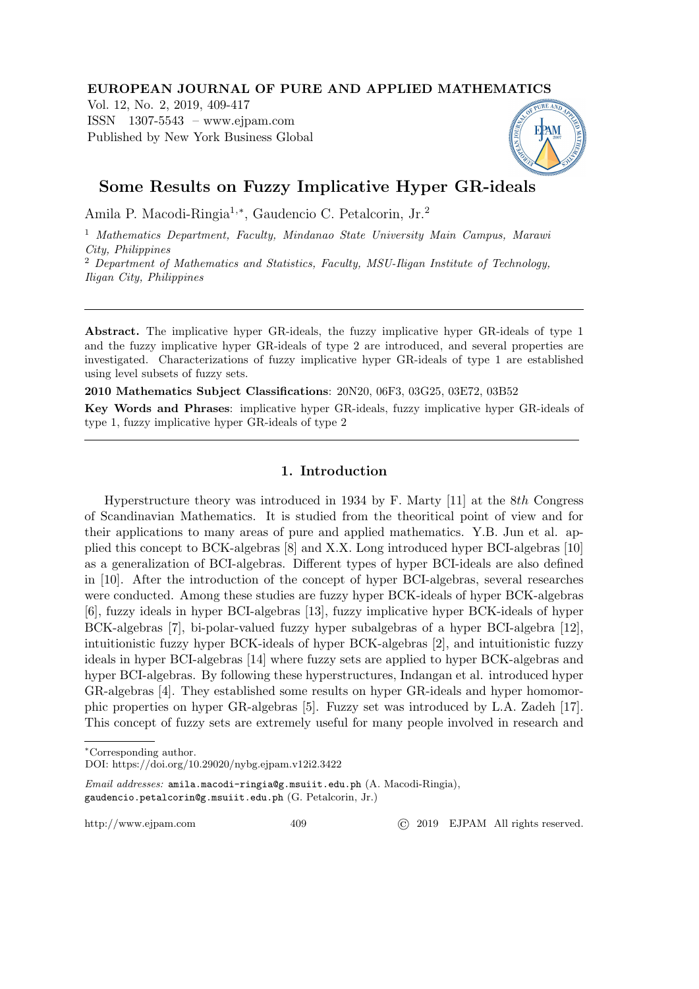## EUROPEAN JOURNAL OF PURE AND APPLIED MATHEMATICS

Vol. 12, No. 2, 2019, 409-417 ISSN 1307-5543 – www.ejpam.com Published by New York Business Global



# Some Results on Fuzzy Implicative Hyper GR-ideals

Amila P. Macodi-Ringia1,<sup>∗</sup> , Gaudencio C. Petalcorin, Jr.<sup>2</sup>

<sup>1</sup> Mathematics Department, Faculty, Mindanao State University Main Campus, Marawi City, Philippines

<sup>2</sup> Department of Mathematics and Statistics, Faculty, MSU-Iligan Institute of Technology, Iligan City, Philippines

Abstract. The implicative hyper GR-ideals, the fuzzy implicative hyper GR-ideals of type 1 and the fuzzy implicative hyper GR-ideals of type 2 are introduced, and several properties are investigated. Characterizations of fuzzy implicative hyper GR-ideals of type 1 are established using level subsets of fuzzy sets.

2010 Mathematics Subject Classifications: 20N20, 06F3, 03G25, 03E72, 03B52

Key Words and Phrases: implicative hyper GR-ideals, fuzzy implicative hyper GR-ideals of type 1, fuzzy implicative hyper GR-ideals of type 2

# 1. Introduction

Hyperstructure theory was introduced in 1934 by F. Marty [11] at the 8th Congress of Scandinavian Mathematics. It is studied from the theoritical point of view and for their applications to many areas of pure and applied mathematics. Y.B. Jun et al. applied this concept to BCK-algebras [8] and X.X. Long introduced hyper BCI-algebras [10] as a generalization of BCI-algebras. Different types of hyper BCI-ideals are also defined in [10]. After the introduction of the concept of hyper BCI-algebras, several researches were conducted. Among these studies are fuzzy hyper BCK-ideals of hyper BCK-algebras [6], fuzzy ideals in hyper BCI-algebras [13], fuzzy implicative hyper BCK-ideals of hyper BCK-algebras [7], bi-polar-valued fuzzy hyper subalgebras of a hyper BCI-algebra [12], intuitionistic fuzzy hyper BCK-ideals of hyper BCK-algebras [2], and intuitionistic fuzzy ideals in hyper BCI-algebras [14] where fuzzy sets are applied to hyper BCK-algebras and hyper BCI-algebras. By following these hyperstructures, Indangan et al. introduced hyper GR-algebras [4]. They established some results on hyper GR-ideals and hyper homomorphic properties on hyper GR-algebras [5]. Fuzzy set was introduced by L.A. Zadeh [17]. This concept of fuzzy sets are extremely useful for many people involved in research and

<sup>∗</sup>Corresponding author.

DOI: https://doi.org/10.29020/nybg.ejpam.v12i2.3422

Email addresses: amila.macodi-ringia@g.msuiit.edu.ph (A. Macodi-Ringia), gaudencio.petalcorin@g.msuiit.edu.ph (G. Petalcorin, Jr.)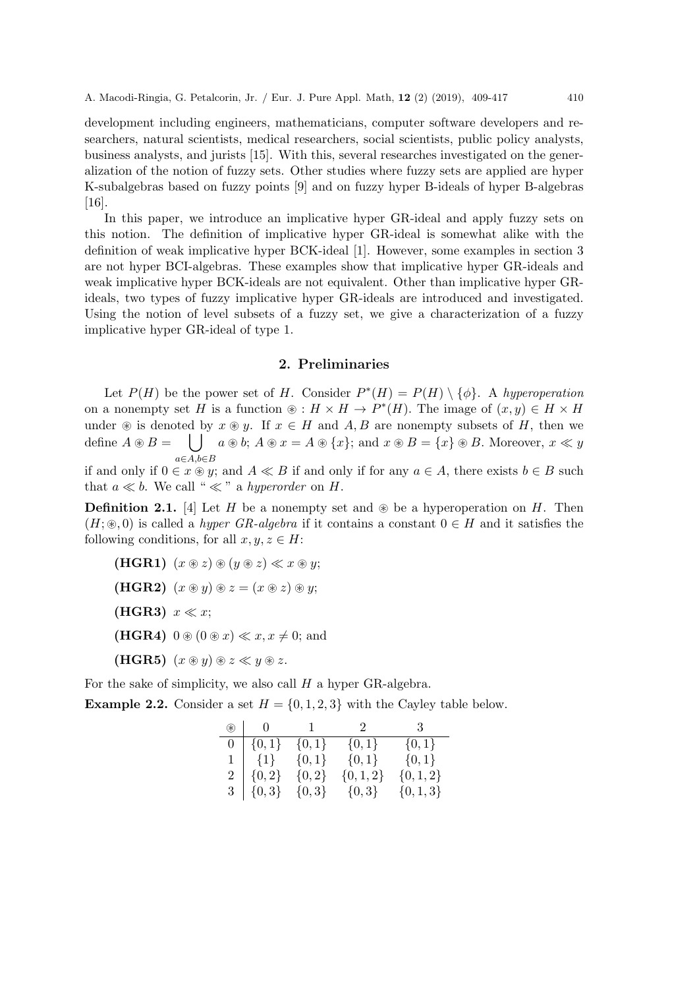development including engineers, mathematicians, computer software developers and researchers, natural scientists, medical researchers, social scientists, public policy analysts, business analysts, and jurists [15]. With this, several researches investigated on the generalization of the notion of fuzzy sets. Other studies where fuzzy sets are applied are hyper K-subalgebras based on fuzzy points [9] and on fuzzy hyper B-ideals of hyper B-algebras [16].

In this paper, we introduce an implicative hyper GR-ideal and apply fuzzy sets on this notion. The definition of implicative hyper GR-ideal is somewhat alike with the definition of weak implicative hyper BCK-ideal [1]. However, some examples in section 3 are not hyper BCI-algebras. These examples show that implicative hyper GR-ideals and weak implicative hyper BCK-ideals are not equivalent. Other than implicative hyper GRideals, two types of fuzzy implicative hyper GR-ideals are introduced and investigated. Using the notion of level subsets of a fuzzy set, we give a characterization of a fuzzy implicative hyper GR-ideal of type 1.

#### 2. Preliminaries

Let  $P(H)$  be the power set of H. Consider  $P^*(H) = P(H) \setminus {\phi}$ . A hyperoperation on a nonempty set H is a function  $\mathcal{D}: H \times H \to P^*(H)$ . The image of  $(x, y) \in H \times H$ under  $\circledast$  is denoted by  $x \circledast y$ . If  $x \in H$  and A, B are nonempty subsets of H, then we define  $A \circledast B =$ |  $a \circledast b$ ;  $A \circledast x = A \circledast \{x\}$ ; and  $x \circledast B = \{x\} \circledast B$ . Moreover,  $x \ll y$  $a \in A, b \in B$ 

if and only if  $0 \in x \otimes y$ ; and  $A \ll B$  if and only if for any  $a \in A$ , there exists  $b \in B$  such that  $a \ll b$ . We call "  $\ll$ " a hyperorder on H.

**Definition 2.1.** [4] Let H be a nonempty set and  $\otimes$  be a hyperoperation on H. Then  $(H; \mathcal{R}, 0)$  is called a *hyper GR-algebra* if it contains a constant  $0 \in H$  and it satisfies the following conditions, for all  $x, y, z \in H$ :

- (HGR1)  $(x \otimes z) \otimes (y \otimes z) \ll x \otimes y;$
- (HGR2)  $(x \circledast y) \circledast z = (x \circledast z) \circledast y;$
- (HGR3)  $x \ll x$ ;
- (HGR4)  $0 \circledast (0 \circledast x) \ll x, x \neq 0;$  and
- (HGR5)  $(x \circledast y) \circledast z \ll y \circledast z$ .

For the sake of simplicity, we also call  $H$  a hyper GR-algebra.

**Example 2.2.** Consider a set  $H = \{0, 1, 2, 3\}$  with the Cayley table below.

| $\circledast$  |                       | $0 \qquad 1$ | - 2           | $\overline{\phantom{a}3}$ |
|----------------|-----------------------|--------------|---------------|---------------------------|
| $\overline{0}$ | $\vert \{0,1\} \vert$ | $\{0,1\}$    | $\{0,1\}$     | $\{0,1\}$                 |
|                | $1   \{1\}$           | $\{0,1\}$    | $\{0,1\}$     | $\{0,1\}$                 |
|                | $2   \{0,2\}$         | $\{0,2\}$    | $\{0, 1, 2\}$ | $\{0, 1, 2\}$             |
|                | $3   \{0,3\}$         | $\{0,3\}$    | $\{0,3\}$     | $\{0,1,3\}$               |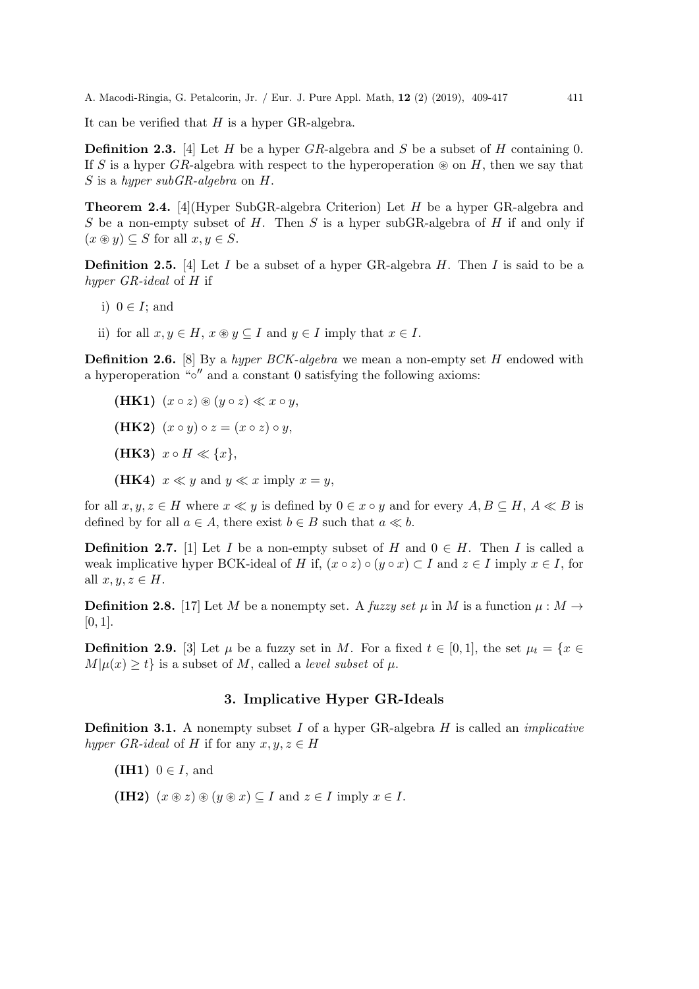It can be verified that  $H$  is a hyper GR-algebra.

**Definition 2.3.** [4] Let H be a hyper  $GR$ -algebra and S be a subset of H containing 0. If S is a hyper GR-algebra with respect to the hyperoperation  $\otimes$  on H, then we say that S is a hyper subGR-algebra on H.

Theorem 2.4. [4](Hyper SubGR-algebra Criterion) Let H be a hyper GR-algebra and S be a non-empty subset of  $H$ . Then  $S$  is a hyper subGR-algebra of  $H$  if and only if  $(x \circledast y) \subseteq S$  for all  $x, y \in S$ .

**Definition 2.5.** [4] Let I be a subset of a hyper GR-algebra H. Then I is said to be a hyper GR-ideal of H if

- i)  $0 \in I$ ; and
- ii) for all  $x, y \in H$ ,  $x \otimes y \subseteq I$  and  $y \in I$  imply that  $x \in I$ .

**Definition 2.6.** [8] By a *hyper BCK-algebra* we mean a non-empty set  $H$  endowed with a hyperoperation " $\circ$ " and a constant 0 satisfying the following axioms:

- (HK1)  $(x \circ z) \circledast (y \circ z) \ll x \circ y$ ,
- (HK2)  $(x \circ y) \circ z = (x \circ z) \circ y$ ,
- (HK3)  $x \circ H \ll \{x\},\$
- (HK4)  $x \ll y$  and  $y \ll x$  imply  $x = y$ ,

for all  $x, y, z \in H$  where  $x \ll y$  is defined by  $0 \in x \circ y$  and for every  $A, B \subseteq H, A \ll B$  is defined by for all  $a \in A$ , there exist  $b \in B$  such that  $a \ll b$ .

**Definition 2.7.** [1] Let I be a non-empty subset of H and  $0 \in H$ . Then I is called a weak implicative hyper BCK-ideal of H if,  $(x \circ z) \circ (y \circ x) \subset I$  and  $z \in I$  imply  $x \in I$ , for all  $x, y, z \in H$ .

**Definition 2.8.** [17] Let M be a nonempty set. A fuzzy set  $\mu$  in M is a function  $\mu : M \rightarrow$  $[0, 1]$ .

**Definition 2.9.** [3] Let  $\mu$  be a fuzzy set in M. For a fixed  $t \in [0,1]$ , the set  $\mu_t = \{x \in$  $M|\mu(x) \geq t$  is a subset of M, called a *level subset* of  $\mu$ .

## 3. Implicative Hyper GR-Ideals

**Definition 3.1.** A nonempty subset  $I$  of a hyper GR-algebra  $H$  is called an *implicative* hyper GR-ideal of H if for any  $x, y, z \in H$ 

(IH1)  $0 \in I$ , and

(IH2)  $(x \otimes z) \otimes (y \otimes x) \subseteq I$  and  $z \in I$  imply  $x \in I$ .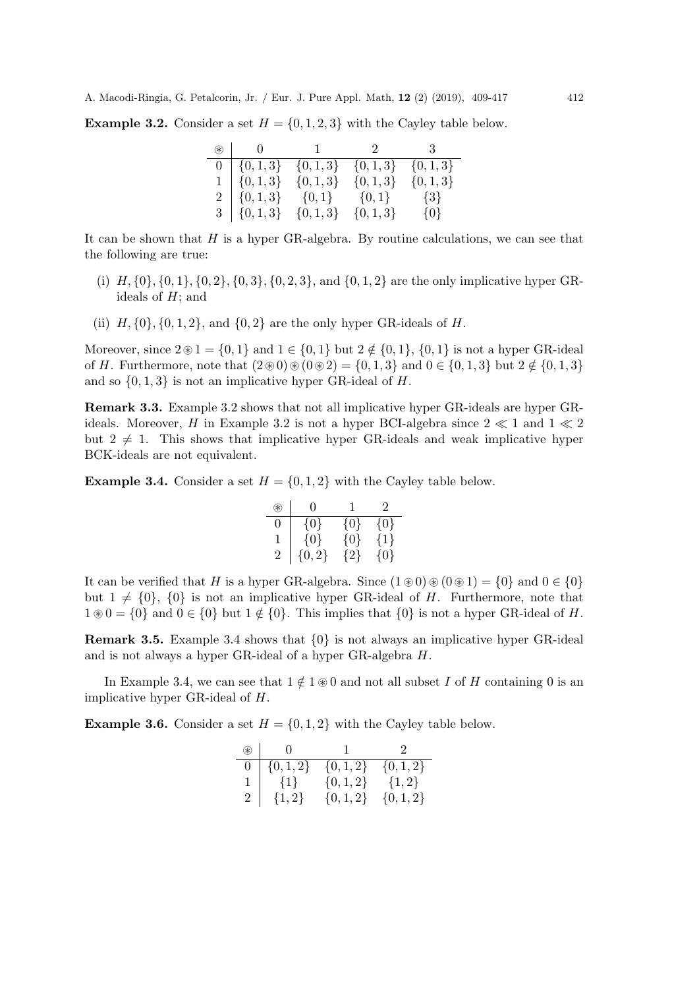**Example 3.2.** Consider a set  $H = \{0, 1, 2, 3\}$  with the Cayley table below.

| $\circledast$ |                                               |             | 0 1 2 3     |             |
|---------------|-----------------------------------------------|-------------|-------------|-------------|
|               | $0   \{0,1,3\} \{0,1,3\} \{0,1,3\} \{0,1,3\}$ |             |             |             |
|               | $1   \{0,1,3\}$                               | $\{0,1,3\}$ | $\{0,1,3\}$ | $\{0,1,3\}$ |
|               | $2   \{0,1,3\}$ $\{0,1\}$ $\{0,1\}$ $\{3\}$   |             |             |             |
|               | $3   \{0,1,3\} \{0,1,3\} \{0,1,3\}$           |             |             | $\{0\}$     |

It can be shown that  $H$  is a hyper GR-algebra. By routine calculations, we can see that the following are true:

- (i)  $H, \{0\}, \{0, 1\}, \{0, 2\}, \{0, 3\}, \{0, 2, 3\}, \text{ and } \{0, 1, 2\} \text{ are the only implicative hyper GR$ ideals of  $H$ ; and
- (ii)  $H, \{0\}, \{0, 1, 2\}, \text{ and } \{0, 2\} \text{ are the only hyper GR-ideals of } H.$

Moreover, since  $2\otimes 1 = \{0,1\}$  and  $1 \in \{0,1\}$  but  $2 \notin \{0,1\}$ ,  $\{0,1\}$  is not a hyper GR-ideal of H. Furthermore, note that  $(2\otimes 0)\otimes(0\otimes 2) = \{0,1,3\}$  and  $0 \in \{0,1,3\}$  but  $2 \notin \{0,1,3\}$ and so  $\{0, 1, 3\}$  is not an implicative hyper GR-ideal of H.

Remark 3.3. Example 3.2 shows that not all implicative hyper GR-ideals are hyper GRideals. Moreover, H in Example 3.2 is not a hyper BCI-algebra since  $2 \ll 1$  and  $1 \ll 2$ but  $2 \neq 1$ . This shows that implicative hyper GR-ideals and weak implicative hyper BCK-ideals are not equivalent.

**Example 3.4.** Consider a set  $H = \{0, 1, 2\}$  with the Cayley table below.

| € | $\mathbf{0}$ |         | 2       |
|---|--------------|---------|---------|
| 0 | $\{0\}$      | $\{0\}$ | $\{0\}$ |
| 1 | $\{0\}$      | $\{0\}$ | $\{1\}$ |
| 2 | 0.2          | { 2 }   | { ( )   |

It can be verified that H is a hyper GR-algebra. Since  $(1 \otimes 0) \otimes (0 \otimes 1) = \{0\}$  and  $0 \in \{0\}$ but  $1 \neq \{0\}$ ,  $\{0\}$  is not an implicative hyper GR-ideal of H. Furthermore, note that  $1 \otimes 0 = \{0\}$  and  $0 \in \{0\}$  but  $1 \notin \{0\}$ . This implies that  $\{0\}$  is not a hyper GR-ideal of H.

**Remark 3.5.** Example 3.4 shows that  $\{0\}$  is not always an implicative hyper GR-ideal and is not always a hyper GR-ideal of a hyper GR-algebra H.

In Example 3.4, we can see that  $1 \notin 1 \otimes 0$  and not all subset I of H containing 0 is an implicative hyper GR-ideal of H.

**Example 3.6.** Consider a set  $H = \{0, 1, 2\}$  with the Cayley table below.

| $\circledast$ | $\bigcup$   |             |             |
|---------------|-------------|-------------|-------------|
| 0.            | $\{0,1,2\}$ | $\{0,1,2\}$ | $\{0,1,2\}$ |
|               | $1   \{1\}$ | $\{0,1,2\}$ | $\{1,2\}$   |
|               | $\{1,2\}$   | $\{0,1,2\}$ | $\{0,1,2\}$ |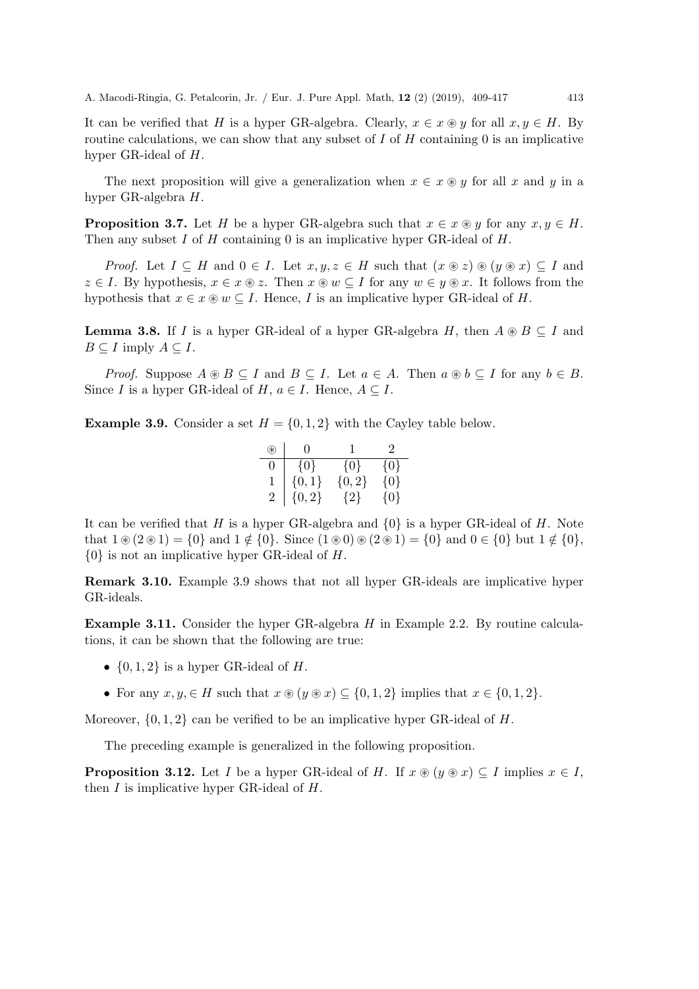It can be verified that H is a hyper GR-algebra. Clearly,  $x \in x \otimes y$  for all  $x, y \in H$ . By routine calculations, we can show that any subset of  $I$  of  $H$  containing  $0$  is an implicative hyper GR-ideal of H.

The next proposition will give a generalization when  $x \in x \otimes y$  for all x and y in a hyper GR-algebra H.

**Proposition 3.7.** Let H be a hyper GR-algebra such that  $x \in x \circ y$  for any  $x, y \in H$ . Then any subset  $I$  of  $H$  containing 0 is an implicative hyper GR-ideal of  $H$ .

*Proof.* Let  $I \subseteq H$  and  $0 \in I$ . Let  $x, y, z \in H$  such that  $(x \circledast z) \circledast (y \circledast x) \subseteq I$  and  $z \in I$ . By hypothesis,  $x \in x \otimes z$ . Then  $x \otimes w \subseteq I$  for any  $w \in y \otimes x$ . It follows from the hypothesis that  $x \in x \otimes w \subseteq I$ . Hence, I is an implicative hyper GR-ideal of H.

**Lemma 3.8.** If I is a hyper GR-ideal of a hyper GR-algebra H, then  $A \otimes B \subseteq I$  and  $B \subseteq I$  imply  $A \subseteq I$ .

*Proof.* Suppose  $A \otimes B \subseteq I$  and  $B \subseteq I$ . Let  $a \in A$ . Then  $a \otimes b \subseteq I$  for any  $b \in B$ . Since I is a hyper GR-ideal of H,  $a \in I$ . Hence,  $A \subseteq I$ .

**Example 3.9.** Consider a set  $H = \{0, 1, 2\}$  with the Cayley table below.

| F) | $\mathbf{0}$ |         | $\mathcal{D}_{\mathcal{L}}$ |
|----|--------------|---------|-----------------------------|
| 0  | $\{0\}$      | $\{0\}$ | $\{0\}$                     |
|    | $\{0,1\}$    | ${0,2}$ | $\{0\}$                     |
| 2  | ${0, 2}$     | ${2}$   | $\{0\}$                     |

It can be verified that H is a hyper GR-algebra and  $\{0\}$  is a hyper GR-ideal of H. Note that  $1 \circledast (2 \circledast 1) = \{0\}$  and  $1 \notin \{0\}$ . Since  $(1 \circledast 0) \circledast (2 \circledast 1) = \{0\}$  and  $0 \in \{0\}$  but  $1 \notin \{0\}$ , {0} is not an implicative hyper GR-ideal of H.

Remark 3.10. Example 3.9 shows that not all hyper GR-ideals are implicative hyper GR-ideals.

**Example 3.11.** Consider the hyper GR-algebra  $H$  in Example 2.2. By routine calculations, it can be shown that the following are true:

- $\{0, 1, 2\}$  is a hyper GR-ideal of H.
- For any  $x, y \in H$  such that  $x \circledast (y \circledast x) \subseteq \{0, 1, 2\}$  implies that  $x \in \{0, 1, 2\}$ .

Moreover,  $\{0, 1, 2\}$  can be verified to be an implicative hyper GR-ideal of H.

The preceding example is generalized in the following proposition.

**Proposition 3.12.** Let I be a hyper GR-ideal of H. If  $x \otimes (y \otimes x) \subseteq I$  implies  $x \in I$ , then  $I$  is implicative hyper GR-ideal of  $H$ .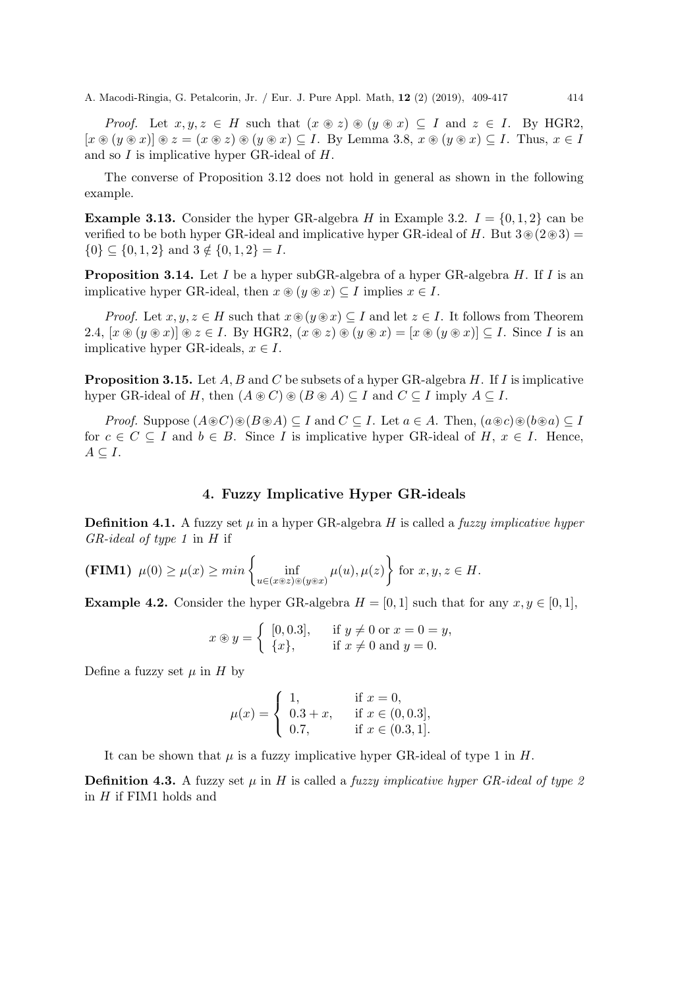*Proof.* Let  $x, y, z \in H$  such that  $(x \otimes z) \otimes (y \otimes x) \subseteq I$  and  $z \in I$ . By HGR2,  $[x \otimes (y \otimes x)] \otimes z = (x \otimes z) \otimes (y \otimes x) \subseteq I$ . By Lemma 3.8,  $x \otimes (y \otimes x) \subseteq I$ . Thus,  $x \in I$ and so I is implicative hyper GR-ideal of H.

The converse of Proposition 3.12 does not hold in general as shown in the following example.

**Example 3.13.** Consider the hyper GR-algebra H in Example 3.2.  $I = \{0, 1, 2\}$  can be verified to be both hyper GR-ideal and implicative hyper GR-ideal of H. But  $3\otimes(2\otimes3)$  =  $\{0\} \subseteq \{0, 1, 2\}$  and  $3 \notin \{0, 1, 2\} = I$ .

**Proposition 3.14.** Let  $I$  be a hyper subGR-algebra of a hyper GR-algebra  $H$ . If  $I$  is an implicative hyper GR-ideal, then  $x \otimes (y \otimes x) \subseteq I$  implies  $x \in I$ .

*Proof.* Let  $x, y, z \in H$  such that  $x \circledast(y \circledast x) \subseteq I$  and let  $z \in I$ . It follows from Theorem 2.4,  $[x \otimes (y \otimes x)] \otimes z \in I$ . By HGR2,  $(x \otimes z) \otimes (y \otimes x) = [x \otimes (y \otimes x)] \subseteq I$ . Since I is an implicative hyper GR-ideals,  $x \in I$ .

**Proposition 3.15.** Let  $A, B$  and  $C$  be subsets of a hyper GR-algebra  $H$ . If  $I$  is implicative hyper GR-ideal of H, then  $(A \otimes C) \otimes (B \otimes A) \subseteq I$  and  $C \subseteq I$  imply  $A \subseteq I$ .

*Proof.* Suppose  $(A \otimes C) \otimes (B \otimes A) \subseteq I$  and  $C \subseteq I$ . Let  $a \in A$ . Then,  $(a \otimes c) \otimes (b \otimes a) \subseteq I$ for  $c \in C \subseteq I$  and  $b \in B$ . Since I is implicative hyper GR-ideal of H,  $x \in I$ . Hence,  $A \subseteq I$ .

#### 4. Fuzzy Implicative Hyper GR-ideals

**Definition 4.1.** A fuzzy set  $\mu$  in a hyper GR-algebra H is called a *fuzzy implicative hyper*  $GR$ -ideal of type 1 in H if

**(FIM1)** 
$$
\mu(0) \ge \mu(x) \ge \min \left\{ \inf_{u \in (x \circledast z) \circledast (y \circledast x)} \mu(u), \mu(z) \right\}
$$
 for  $x, y, z \in H$ .

**Example 4.2.** Consider the hyper GR-algebra  $H = [0, 1]$  such that for any  $x, y \in [0, 1]$ ,

$$
x \circledast y = \begin{cases} [0,0.3], & \text{if } y \neq 0 \text{ or } x = 0 = y, \\ \{x\}, & \text{if } x \neq 0 \text{ and } y = 0. \end{cases}
$$

Define a fuzzy set  $\mu$  in H by

$$
\mu(x) = \begin{cases} 1, & \text{if } x = 0, \\ 0.3 + x, & \text{if } x \in (0, 0.3], \\ 0.7, & \text{if } x \in (0.3, 1]. \end{cases}
$$

It can be shown that  $\mu$  is a fuzzy implicative hyper GR-ideal of type 1 in  $H$ .

**Definition 4.3.** A fuzzy set  $\mu$  in H is called a fuzzy implicative hyper GR-ideal of type 2 in  $H$  if FIM1 holds and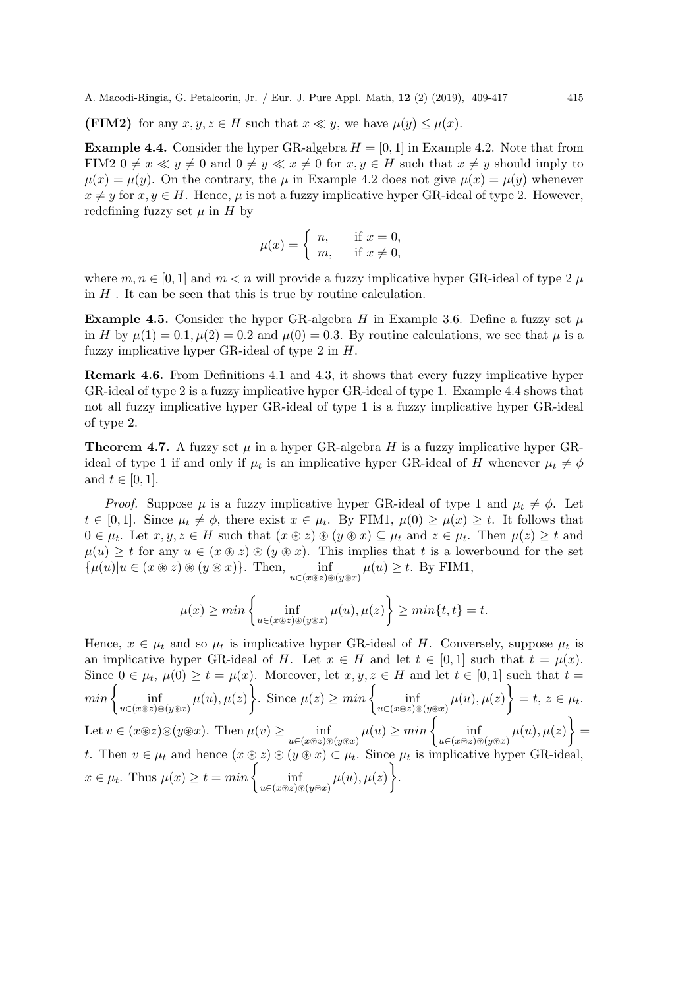(FIM2) for any  $x, y, z \in H$  such that  $x \ll y$ , we have  $\mu(y) \leq \mu(x)$ .

**Example 4.4.** Consider the hyper GR-algebra  $H = [0, 1]$  in Example 4.2. Note that from FIM2  $0 \neq x \ll y \neq 0$  and  $0 \neq y \ll x \neq 0$  for  $x, y \in H$  such that  $x \neq y$  should imply to  $\mu(x) = \mu(y)$ . On the contrary, the  $\mu$  in Example 4.2 does not give  $\mu(x) = \mu(y)$  whenever  $x \neq y$  for  $x, y \in H$ . Hence,  $\mu$  is not a fuzzy implicative hyper GR-ideal of type 2. However, redefining fuzzy set  $\mu$  in  $H$  by

$$
\mu(x) = \begin{cases} n, & \text{if } x = 0, \\ m, & \text{if } x \neq 0, \end{cases}
$$

where  $m, n \in [0, 1]$  and  $m < n$  will provide a fuzzy implicative hyper GR-ideal of type 2  $\mu$ in  $H$ . It can be seen that this is true by routine calculation.

**Example 4.5.** Consider the hyper GR-algebra H in Example 3.6. Define a fuzzy set  $\mu$ in H by  $\mu(1) = 0.1, \mu(2) = 0.2$  and  $\mu(0) = 0.3$ . By routine calculations, we see that  $\mu$  is a fuzzy implicative hyper GR-ideal of type 2 in H.

Remark 4.6. From Definitions 4.1 and 4.3, it shows that every fuzzy implicative hyper GR-ideal of type 2 is a fuzzy implicative hyper GR-ideal of type 1. Example 4.4 shows that not all fuzzy implicative hyper GR-ideal of type 1 is a fuzzy implicative hyper GR-ideal of type 2.

**Theorem 4.7.** A fuzzy set  $\mu$  in a hyper GR-algebra H is a fuzzy implicative hyper GRideal of type 1 if and only if  $\mu_t$  is an implicative hyper GR-ideal of H whenever  $\mu_t \neq \phi$ and  $t \in [0,1]$ .

*Proof.* Suppose  $\mu$  is a fuzzy implicative hyper GR-ideal of type 1 and  $\mu_t \neq \phi$ . Let  $t \in [0,1]$ . Since  $\mu_t \neq \phi$ , there exist  $x \in \mu_t$ . By FIM1,  $\mu(0) \geq \mu(x) \geq t$ . It follows that  $0 \in \mu_t$ . Let  $x, y, z \in H$  such that  $(x \otimes z) \otimes (y \otimes x) \subseteq \mu_t$  and  $z \in \mu_t$ . Then  $\mu(z) \geq t$  and  $\mu(u) \geq t$  for any  $u \in (x \otimes z) \otimes (y \otimes x)$ . This implies that t is a lowerbound for the set  $\{\mu(u)|u\in (x\circledast z)\circledast (y\circledast x)\}\.$  Then,  $\inf_{u\in (x\circledast z)\circledast (y\circledast x)}\mu(u)\geq t$ . By FIM1,

$$
\mu(x) \ge \min\left\{\inf_{u \in (x \circledast z) \circledast (y \circledast x)} \mu(u), \mu(z)\right\} \ge \min\{t, t\} = t.
$$

Hence,  $x \in \mu_t$  and so  $\mu_t$  is implicative hyper GR-ideal of H. Conversely, suppose  $\mu_t$  is an implicative hyper GR-ideal of H. Let  $x \in H$  and let  $t \in [0,1]$  such that  $t = \mu(x)$ . Since  $0 \in \mu_t$ ,  $\mu(0) \ge t = \mu(x)$ . Moreover, let  $x, y, z \in H$  and let  $t \in [0,1]$  such that  $t =$  $min\left\{\inf_{u\in(x\circledast z)\circledast(y\circledast x)}\mu(u),\mu(z)\right\}.$  Since  $\mu(z)\geq min\left\{\inf_{u\in(x\circledast z)\circledast(y\circledast x)}\mu(u),\mu(z)\right\}=t,\ z\in\mu_t.$ Let  $v \in (x \otimes z) \otimes (y \otimes x)$ . Then  $\mu(v) \ge \inf_{u \in (x \otimes z) \otimes (y \otimes x)} \mu(u) \ge \min \left\{ \inf_{u \in (x \otimes z) \otimes (y \otimes x)} \mu(u), \mu(z) \right\}$ t. Then  $v \in \mu_t$  and hence  $(x \otimes z) \otimes (y \otimes x) \subset \mu_t$ . Since  $\mu_t$  is implicative hyper GR-ideal,  $x \in \mu_t$ . Thus  $\mu(x) \ge t = \min \left\{ \inf_{u \in (x \otimes z) \circledast (y \circledast x)} \mu(u), \mu(z) \right\}.$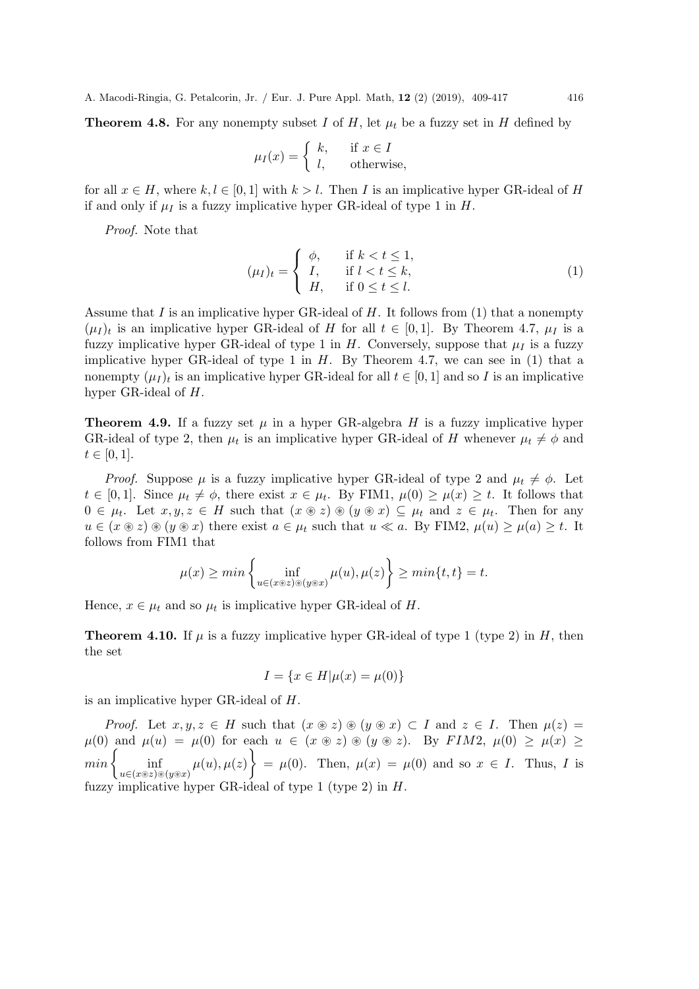**Theorem 4.8.** For any nonempty subset I of H, let  $\mu_t$  be a fuzzy set in H defined by

$$
\mu_I(x) = \begin{cases} k, & \text{if } x \in I \\ l, & \text{otherwise,} \end{cases}
$$

for all  $x \in H$ , where  $k, l \in [0, 1]$  with  $k > l$ . Then I is an implicative hyper GR-ideal of H if and only if  $\mu_I$  is a fuzzy implicative hyper GR-ideal of type 1 in H.

Proof. Note that

$$
(\mu_I)_t = \begin{cases} \phi, & \text{if } k < t \le 1, \\ I, & \text{if } l < t \le k, \\ H, & \text{if } 0 \le t \le l. \end{cases} \tag{1}
$$

Assume that  $I$  is an implicative hyper GR-ideal of  $H$ . It follows from (1) that a nonempty  $(\mu_I)_t$  is an implicative hyper GR-ideal of H for all  $t \in [0,1]$ . By Theorem 4.7,  $\mu_I$  is a fuzzy implicative hyper GR-ideal of type 1 in  $H$ . Conversely, suppose that  $\mu_I$  is a fuzzy implicative hyper GR-ideal of type 1 in  $H$ . By Theorem 4.7, we can see in  $(1)$  that a nonempty  $(\mu_I)_t$  is an implicative hyper GR-ideal for all  $t \in [0,1]$  and so I is an implicative hyper GR-ideal of H.

**Theorem 4.9.** If a fuzzy set  $\mu$  in a hyper GR-algebra H is a fuzzy implicative hyper GR-ideal of type 2, then  $\mu_t$  is an implicative hyper GR-ideal of H whenever  $\mu_t \neq \phi$  and  $t \in [0, 1].$ 

*Proof.* Suppose  $\mu$  is a fuzzy implicative hyper GR-ideal of type 2 and  $\mu_t \neq \phi$ . Let  $t \in [0,1]$ . Since  $\mu_t \neq \phi$ , there exist  $x \in \mu_t$ . By FIM1,  $\mu(0) \geq \mu(x) \geq t$ . It follows that  $0 \in \mu_t$ . Let  $x, y, z \in H$  such that  $(x \otimes z) \otimes (y \otimes x) \subseteq \mu_t$  and  $z \in \mu_t$ . Then for any  $u \in (\mathcal{x} \circledast z) \circledast (y \circledast x)$  there exist  $a \in \mu_t$  such that  $u \ll a$ . By FIM2,  $\mu(u) \ge \mu(a) \ge t$ . It follows from FIM1 that

$$
\mu(x) \ge \min\left\{\inf_{u \in (x \circledast z) \circledast (y \circledast x)} \mu(u), \mu(z)\right\} \ge \min\{t, t\} = t.
$$

Hence,  $x \in \mu_t$  and so  $\mu_t$  is implicative hyper GR-ideal of H.

**Theorem 4.10.** If  $\mu$  is a fuzzy implicative hyper GR-ideal of type 1 (type 2) in H, then the set

$$
I = \{ x \in H | \mu(x) = \mu(0) \}
$$

is an implicative hyper GR-ideal of H.

*Proof.* Let  $x, y, z \in H$  such that  $(x \otimes z) \otimes (y \otimes x) \subset I$  and  $z \in I$ . Then  $\mu(z) =$  $\mu(0)$  and  $\mu(u) = \mu(0)$  for each  $u \in (x \otimes z) \otimes (y \otimes z)$ . By FIM2,  $\mu(0) \geq \mu(x) \geq$  $min\left\{\inf_{u\in(x\otimes z)\otimes(y\otimes x)}\mu(u),\mu(z)\right\} = \mu(0).$  Then,  $\mu(x) = \mu(0)$  and so  $x \in I$ . Thus, I is fuzzy implicative hyper GR-ideal of type 1 (type 2) in  $H$ .